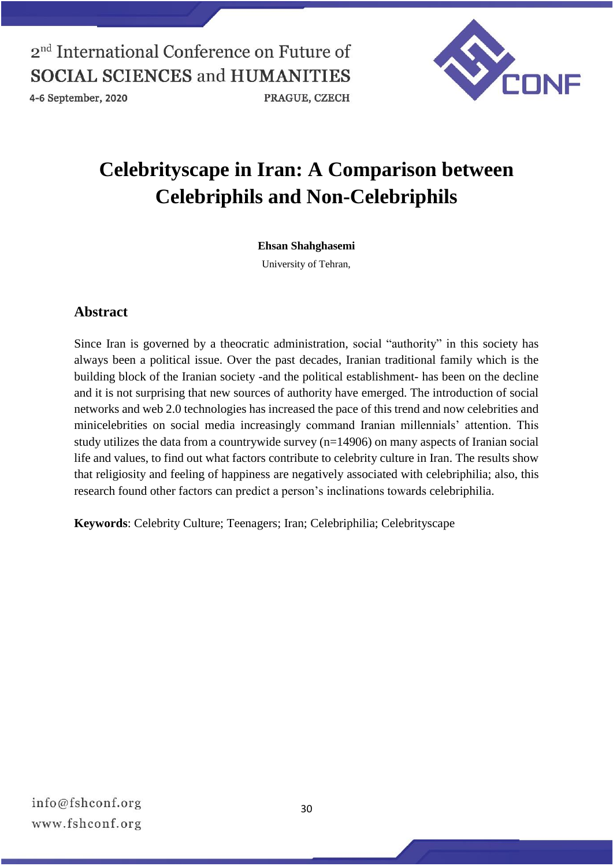



# **Celebrityscape in Iran: A Comparison between Celebriphils and Non-Celebriphils**

#### **Ehsan Shahghasemi**

University of Tehran,

### **Abstract**

Since Iran is governed by a theocratic administration, social "authority" in this society has always been a political issue. Over the past decades, Iranian traditional family which is the building block of the Iranian society -and the political establishment- has been on the decline and it is not surprising that new sources of authority have emerged. The introduction of social networks and web 2.0 technologies has increased the pace of this trend and now celebrities and minicelebrities on social media increasingly command Iranian millennials' attention. This study utilizes the data from a countrywide survey (n=14906) on many aspects of Iranian social life and values, to find out what factors contribute to celebrity culture in Iran. The results show that religiosity and feeling of happiness are negatively associated with celebriphilia; also, this research found other factors can predict a person's inclinations towards celebriphilia.

**Keywords**: Celebrity Culture; Teenagers; Iran; Celebriphilia; Celebrityscape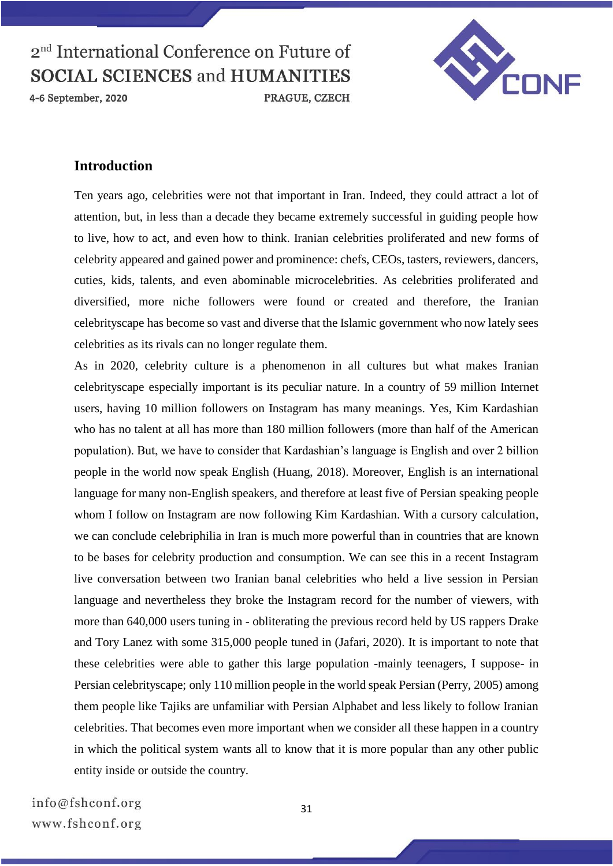4-6 September, 2020



#### **Introduction**

Ten years ago, celebrities were not that important in Iran. Indeed, they could attract a lot of attention, but, in less than a decade they became extremely successful in guiding people how to live, how to act, and even how to think. Iranian celebrities proliferated and new forms of celebrity appeared and gained power and prominence: chefs, CEOs, tasters, reviewers, dancers, cuties, kids, talents, and even abominable microcelebrities. As celebrities proliferated and diversified, more niche followers were found or created and therefore, the Iranian celebrityscape has become so vast and diverse that the Islamic government who now lately sees celebrities as its rivals can no longer regulate them.

As in 2020, celebrity culture is a phenomenon in all cultures but what makes Iranian celebrityscape especially important is its peculiar nature. In a country of 59 million Internet users, having 10 million followers on Instagram has many meanings. Yes, Kim Kardashian who has no talent at all has more than 180 million followers (more than half of the American population). But, we have to consider that Kardashian's language is English and over 2 billion people in the world now speak English (Huang, 2018). Moreover, English is an international language for many non-English speakers, and therefore at least five of Persian speaking people whom I follow on Instagram are now following Kim Kardashian. With a cursory calculation, we can conclude celebriphilia in Iran is much more powerful than in countries that are known to be bases for celebrity production and consumption. We can see this in a recent Instagram live conversation between two Iranian banal celebrities who held a live session in Persian language and nevertheless they broke the Instagram record for the number of viewers, with more than 640,000 users tuning in - obliterating the previous record held by US rappers Drake and Tory Lanez with some 315,000 people tuned in (Jafari, 2020). It is important to note that these celebrities were able to gather this large population -mainly teenagers, I suppose- in Persian celebrityscape; only 110 million people in the world speak Persian (Perry, 2005) among them people like Tajiks are unfamiliar with Persian Alphabet and less likely to follow Iranian celebrities. That becomes even more important when we consider all these happen in a country in which the political system wants all to know that it is more popular than any other public entity inside or outside the country.

info@fshconf.org www.fshconf.org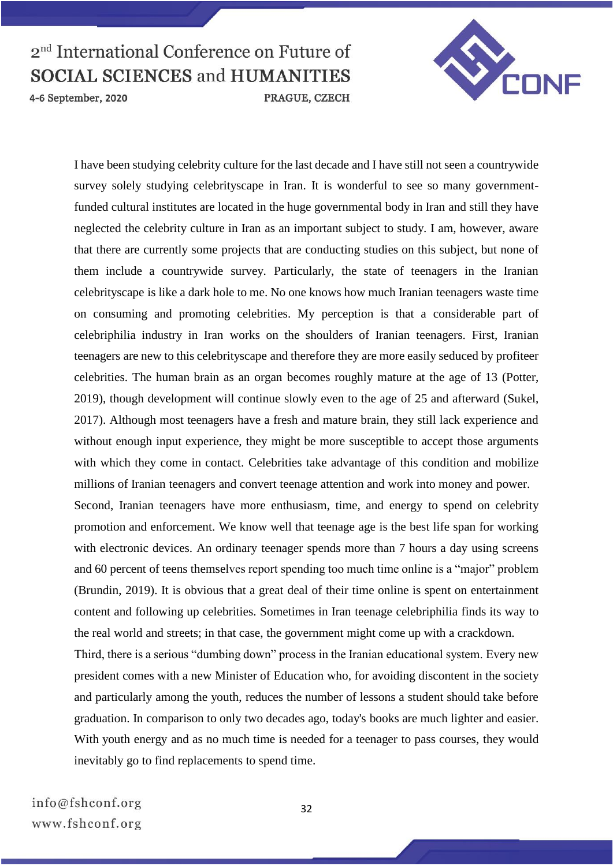

4-6 September, 2020



I have been studying celebrity culture for the last decade and I have still not seen a countrywide survey solely studying celebrityscape in Iran. It is wonderful to see so many governmentfunded cultural institutes are located in the huge governmental body in Iran and still they have neglected the celebrity culture in Iran as an important subject to study. I am, however, aware that there are currently some projects that are conducting studies on this subject, but none of them include a countrywide survey. Particularly, the state of teenagers in the Iranian celebrityscape is like a dark hole to me. No one knows how much Iranian teenagers waste time on consuming and promoting celebrities. My perception is that a considerable part of celebriphilia industry in Iran works on the shoulders of Iranian teenagers. First, Iranian teenagers are new to this celebrityscape and therefore they are more easily seduced by profiteer celebrities. The human brain as an organ becomes roughly mature at the age of 13 (Potter, 2019), though development will continue slowly even to the age of 25 and afterward (Sukel, 2017). Although most teenagers have a fresh and mature brain, they still lack experience and without enough input experience, they might be more susceptible to accept those arguments with which they come in contact. Celebrities take advantage of this condition and mobilize millions of Iranian teenagers and convert teenage attention and work into money and power. Second, Iranian teenagers have more enthusiasm, time, and energy to spend on celebrity

promotion and enforcement. We know well that teenage age is the best life span for working with electronic devices. An ordinary teenager spends more than 7 hours a day using screens and 60 percent of teens themselves report spending too much time online is a "major" problem (Brundin, 2019). It is obvious that a great deal of their time online is spent on entertainment content and following up celebrities. Sometimes in Iran teenage celebriphilia finds its way to the real world and streets; in that case, the government might come up with a crackdown.

Third, there is a serious "dumbing down" process in the Iranian educational system. Every new president comes with a new Minister of Education who, for avoiding discontent in the society and particularly among the youth, reduces the number of lessons a student should take before graduation. In comparison to only two decades ago, today's books are much lighter and easier. With youth energy and as no much time is needed for a teenager to pass courses, they would inevitably go to find replacements to spend time.

32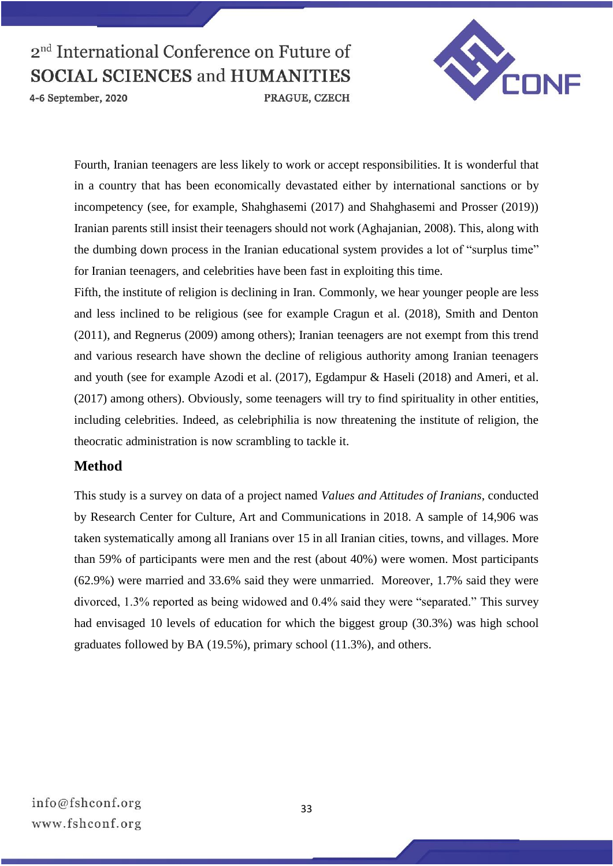4-6 September, 2020



Fourth, Iranian teenagers are less likely to work or accept responsibilities. It is wonderful that in a country that has been economically devastated either by international sanctions or by incompetency (see, for example, Shahghasemi (2017) and Shahghasemi and Prosser (2019)) Iranian parents still insist their teenagers should not work (Aghajanian, 2008). This, along with the dumbing down process in the Iranian educational system provides a lot of "surplus time" for Iranian teenagers, and celebrities have been fast in exploiting this time.

PRAGUE, CZECH

Fifth, the institute of religion is declining in Iran. Commonly, we hear younger people are less and less inclined to be religious (see for example Cragun et al. (2018), Smith and Denton (2011), and Regnerus (2009) among others); Iranian teenagers are not exempt from this trend and various research have shown the decline of religious authority among Iranian teenagers and youth (see for example Azodi et al. (2017), Egdampur & Haseli (2018) and Ameri, et al. (2017) among others). Obviously, some teenagers will try to find spirituality in other entities, including celebrities. Indeed, as celebriphilia is now threatening the institute of religion, the theocratic administration is now scrambling to tackle it.

## **Method**

This study is a survey on data of a project named *Values and Attitudes of Iranians*, conducted by Research Center for Culture, Art and Communications in 2018. A sample of 14,906 was taken systematically among all Iranians over 15 in all Iranian cities, towns, and villages. More than 59% of participants were men and the rest (about 40%) were women. Most participants (62.9%) were married and 33.6% said they were unmarried. Moreover, 1.7% said they were divorced, 1.3% reported as being widowed and 0.4% said they were "separated." This survey had envisaged 10 levels of education for which the biggest group (30.3%) was high school graduates followed by BA (19.5%), primary school (11.3%), and others.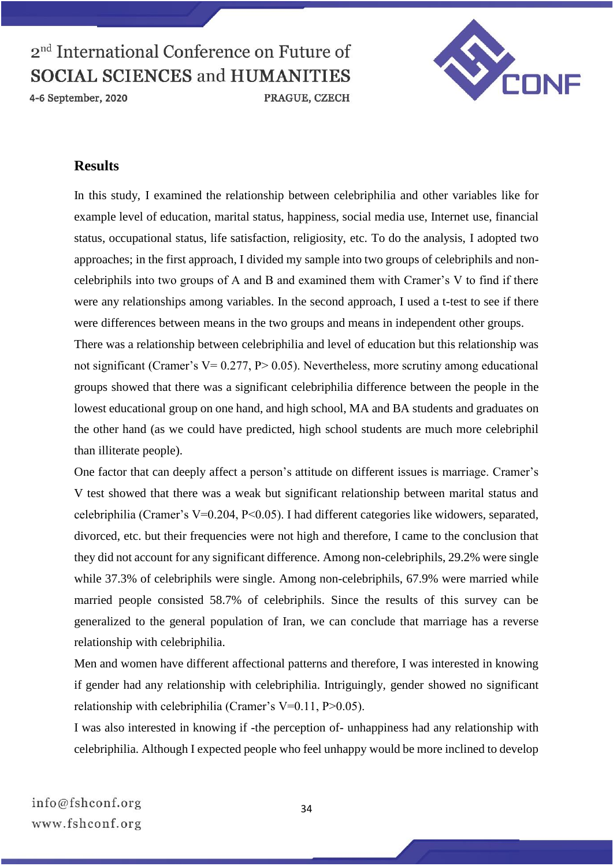

4-6 September, 2020



#### **Results**

In this study, I examined the relationship between celebriphilia and other variables like for example level of education, marital status, happiness, social media use, Internet use, financial status, occupational status, life satisfaction, religiosity, etc. To do the analysis, I adopted two approaches; in the first approach, I divided my sample into two groups of celebriphils and noncelebriphils into two groups of A and B and examined them with Cramer's V to find if there were any relationships among variables. In the second approach, I used a t-test to see if there were differences between means in the two groups and means in independent other groups. There was a relationship between celebriphilia and level of education but this relationship was not significant (Cramer's  $V= 0.277$ ,  $P> 0.05$ ). Nevertheless, more scrutiny among educational groups showed that there was a significant celebriphilia difference between the people in the lowest educational group on one hand, and high school, MA and BA students and graduates on

the other hand (as we could have predicted, high school students are much more celebriphil than illiterate people).

One factor that can deeply affect a person's attitude on different issues is marriage. Cramer's V test showed that there was a weak but significant relationship between marital status and celebriphilia (Cramer's V=0.204, P<0.05). I had different categories like widowers, separated, divorced, etc. but their frequencies were not high and therefore, I came to the conclusion that they did not account for any significant difference. Among non-celebriphils, 29.2% were single while 37.3% of celebriphils were single. Among non-celebriphils, 67.9% were married while married people consisted 58.7% of celebriphils. Since the results of this survey can be generalized to the general population of Iran, we can conclude that marriage has a reverse relationship with celebriphilia.

Men and women have different affectional patterns and therefore, I was interested in knowing if gender had any relationship with celebriphilia. Intriguingly, gender showed no significant relationship with celebriphilia (Cramer's V=0.11, P>0.05).

I was also interested in knowing if -the perception of- unhappiness had any relationship with celebriphilia. Although I expected people who feel unhappy would be more inclined to develop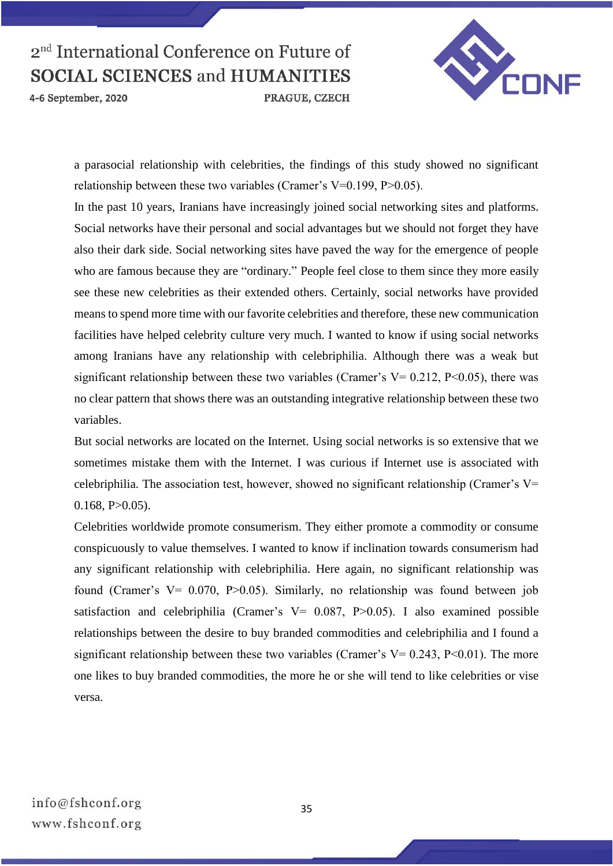4-6 September, 2020



a parasocial relationship with celebrities, the findings of this study showed no significant relationship between these two variables (Cramer's V=0.199, P>0.05).

PRAGUE, CZECH

In the past 10 years, Iranians have increasingly joined social networking sites and platforms. Social networks have their personal and social advantages but we should not forget they have also their dark side. Social networking sites have paved the way for the emergence of people who are famous because they are "ordinary." People feel close to them since they more easily see these new celebrities as their extended others. Certainly, social networks have provided means to spend more time with our favorite celebrities and therefore, these new communication facilities have helped celebrity culture very much. I wanted to know if using social networks among Iranians have any relationship with celebriphilia. Although there was a weak but significant relationship between these two variables (Cramer's  $V= 0.212$ , P<0.05), there was no clear pattern that shows there was an outstanding integrative relationship between these two variables.

But social networks are located on the Internet. Using social networks is so extensive that we sometimes mistake them with the Internet. I was curious if Internet use is associated with celebriphilia. The association test, however, showed no significant relationship (Cramer's V=  $0.168$ , P $>0.05$ ).

Celebrities worldwide promote consumerism. They either promote a commodity or consume conspicuously to value themselves. I wanted to know if inclination towards consumerism had any significant relationship with celebriphilia. Here again, no significant relationship was found (Cramer's V= 0.070, P>0.05). Similarly, no relationship was found between job satisfaction and celebriphilia (Cramer's  $V = 0.087$ , P $> 0.05$ ). I also examined possible relationships between the desire to buy branded commodities and celebriphilia and I found a significant relationship between these two variables (Cramer's  $V= 0.243$ , P<0.01). The more one likes to buy branded commodities, the more he or she will tend to like celebrities or vise versa.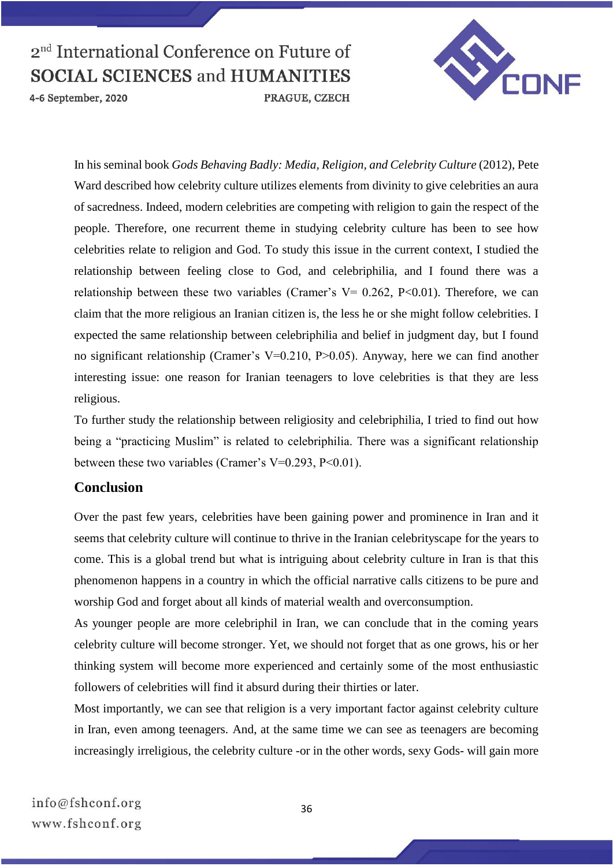

4-6 September, 2020



In his seminal book *Gods Behaving Badly: Media, Religion, and Celebrity Culture* (2012), Pete Ward described how celebrity culture utilizes elements from divinity to give celebrities an aura of sacredness. Indeed, modern celebrities are competing with religion to gain the respect of the people. Therefore, one recurrent theme in studying celebrity culture has been to see how celebrities relate to religion and God. To study this issue in the current context, I studied the relationship between feeling close to God, and celebriphilia, and I found there was a relationship between these two variables (Cramer's  $V = 0.262$ , P<0.01). Therefore, we can claim that the more religious an Iranian citizen is, the less he or she might follow celebrities. I expected the same relationship between celebriphilia and belief in judgment day, but I found no significant relationship (Cramer's V=0.210, P>0.05). Anyway, here we can find another interesting issue: one reason for Iranian teenagers to love celebrities is that they are less religious.

To further study the relationship between religiosity and celebriphilia, I tried to find out how being a "practicing Muslim" is related to celebriphilia. There was a significant relationship between these two variables (Cramer's V=0.293, P<0.01).

## **Conclusion**

Over the past few years, celebrities have been gaining power and prominence in Iran and it seems that celebrity culture will continue to thrive in the Iranian celebrityscape for the years to come. This is a global trend but what is intriguing about celebrity culture in Iran is that this phenomenon happens in a country in which the official narrative calls citizens to be pure and worship God and forget about all kinds of material wealth and overconsumption.

As younger people are more celebriphil in Iran, we can conclude that in the coming years celebrity culture will become stronger. Yet, we should not forget that as one grows, his or her thinking system will become more experienced and certainly some of the most enthusiastic followers of celebrities will find it absurd during their thirties or later.

Most importantly, we can see that religion is a very important factor against celebrity culture in Iran, even among teenagers. And, at the same time we can see as teenagers are becoming increasingly irreligious, the celebrity culture -or in the other words, sexy Gods- will gain more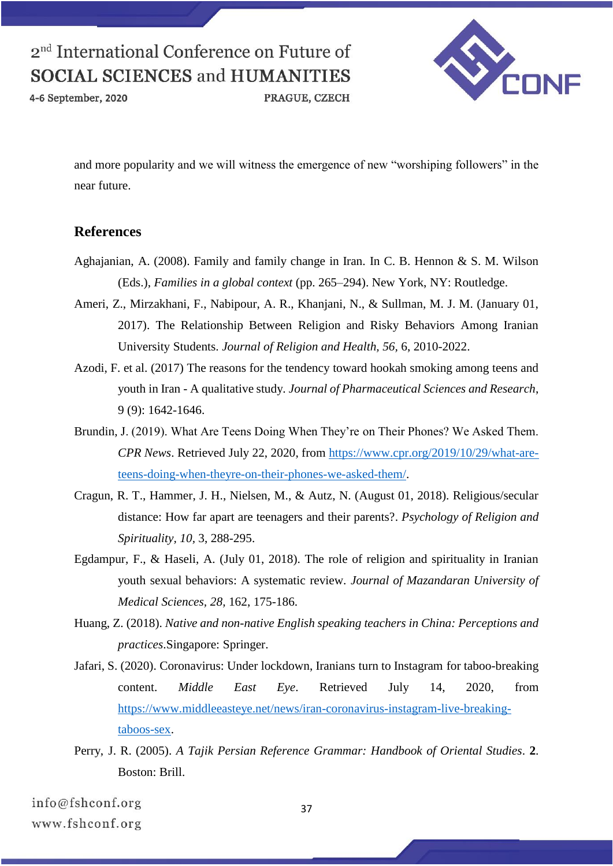4-6 September, 2020

VEONE

and more popularity and we will witness the emergence of new "worshiping followers" in the near future.

PRAGUE, CZECH

## **References**

- Aghajanian, A. (2008). Family and family change in Iran. In C. B. Hennon & S. M. Wilson (Eds.), *Families in a global context* (pp. 265–294). New York, NY: Routledge.
- Ameri, Z., Mirzakhani, F., Nabipour, A. R., Khanjani, N., & Sullman, M. J. M. (January 01, 2017). The Relationship Between Religion and Risky Behaviors Among Iranian University Students. *Journal of Religion and Health, 56,* 6, 2010-2022.
- Azodi, F. et al. (2017) The reasons for the tendency toward hookah smoking among teens and youth in Iran - A qualitative study. *Journal of Pharmaceutical Sciences and Research*, 9 (9): 1642-1646.
- Brundin, J. (2019). What Are Teens Doing When They're on Their Phones? We Asked Them. *CPR News*. Retrieved July 22, 2020, from [https://www.cpr.org/2019/10/29/what-are](https://www.cpr.org/2019/10/29/what-are-teens-doing-when-theyre-on-their-phones-we-asked-them/)[teens-doing-when-theyre-on-their-phones-we-asked-them/.](https://www.cpr.org/2019/10/29/what-are-teens-doing-when-theyre-on-their-phones-we-asked-them/)
- Cragun, R. T., Hammer, J. H., Nielsen, M., & Autz, N. (August 01, 2018). Religious/secular distance: How far apart are teenagers and their parents?. *Psychology of Religion and Spirituality, 10,* 3, 288-295.
- Egdampur, F., & Haseli, A. (July 01, 2018). The role of religion and spirituality in Iranian youth sexual behaviors: A systematic review. *Journal of Mazandaran University of Medical Sciences, 28,* 162, 175-186.
- Huang, Z. (2018). *Native and non-native English speaking teachers in China: Perceptions and practices*.Singapore: Springer.
- Jafari, S. (2020). Coronavirus: Under lockdown, Iranians turn to Instagram for taboo-breaking content. *Middle East Eye*. Retrieved July 14, 2020, from [https://www.middleeasteye.net/news/iran-coronavirus-instagram-live-breaking](https://www.middleeasteye.net/news/iran-coronavirus-instagram-live-breaking-taboos-sex)[taboos-sex.](https://www.middleeasteye.net/news/iran-coronavirus-instagram-live-breaking-taboos-sex)
- Perry, J. R. (2005). *A Tajik Persian Reference Grammar: Handbook of Oriental Studies*. **2**. Boston: Brill.

info@fshconf.org www.fshconf.org